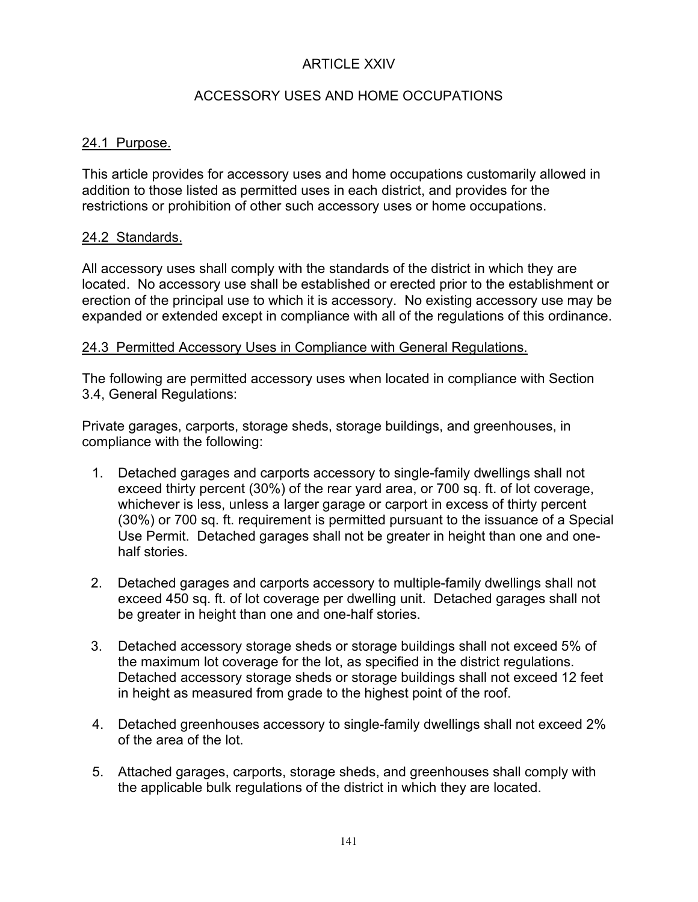# ARTICLE XXIV

# ACCESSORY USES AND HOME OCCUPATIONS

### 24.1 Purpose.

This article provides for accessory uses and home occupations customarily allowed in addition to those listed as permitted uses in each district, and provides for the restrictions or prohibition of other such accessory uses or home occupations.

#### 24.2 Standards.

All accessory uses shall comply with the standards of the district in which they are located. No accessory use shall be established or erected prior to the establishment or erection of the principal use to which it is accessory. No existing accessory use may be expanded or extended except in compliance with all of the regulations of this ordinance.

#### 24.3 Permitted Accessory Uses in Compliance with General Regulations.

The following are permitted accessory uses when located in compliance with Section 3.4, General Regulations:

Private garages, carports, storage sheds, storage buildings, and greenhouses, in compliance with the following:

- 1. Detached garages and carports accessory to single-family dwellings shall not exceed thirty percent (30%) of the rear yard area, or 700 sq. ft. of lot coverage, whichever is less, unless a larger garage or carport in excess of thirty percent (30%) or 700 sq. ft. requirement is permitted pursuant to the issuance of a Special Use Permit. Detached garages shall not be greater in height than one and onehalf stories.
- 2. Detached garages and carports accessory to multiple-family dwellings shall not exceed 450 sq. ft. of lot coverage per dwelling unit. Detached garages shall not be greater in height than one and one-half stories.
- 3. Detached accessory storage sheds or storage buildings shall not exceed 5% of the maximum lot coverage for the lot, as specified in the district regulations. Detached accessory storage sheds or storage buildings shall not exceed 12 feet in height as measured from grade to the highest point of the roof.
- 4. Detached greenhouses accessory to single-family dwellings shall not exceed 2% of the area of the lot.
- 5. Attached garages, carports, storage sheds, and greenhouses shall comply with the applicable bulk regulations of the district in which they are located.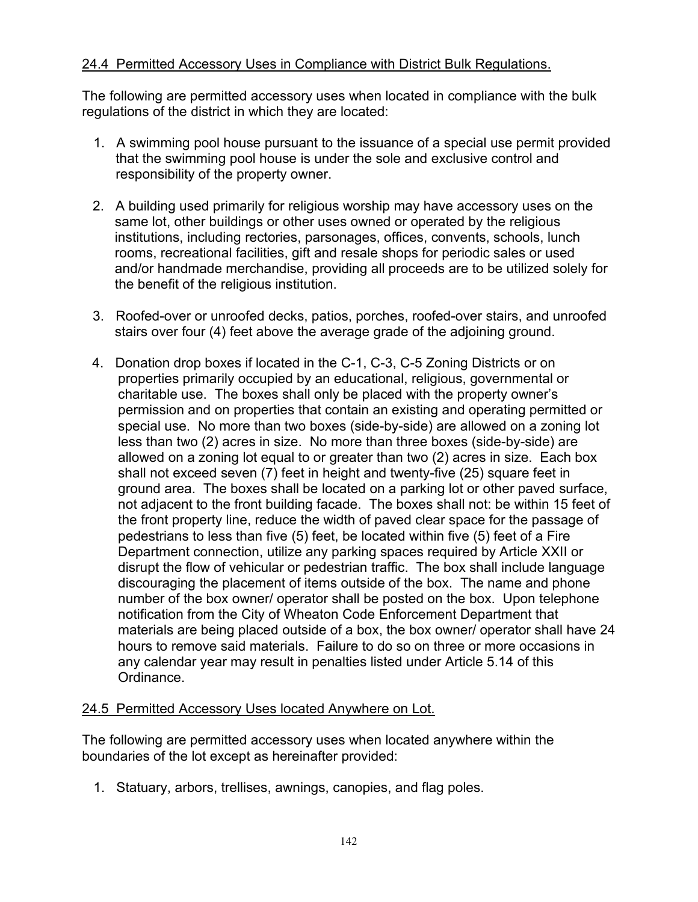## 24.4 Permitted Accessory Uses in Compliance with District Bulk Regulations.

The following are permitted accessory uses when located in compliance with the bulk regulations of the district in which they are located:

- 1. A swimming pool house pursuant to the issuance of a special use permit provided that the swimming pool house is under the sole and exclusive control and responsibility of the property owner.
- 2. A building used primarily for religious worship may have accessory uses on the same lot, other buildings or other uses owned or operated by the religious institutions, including rectories, parsonages, offices, convents, schools, lunch rooms, recreational facilities, gift and resale shops for periodic sales or used and/or handmade merchandise, providing all proceeds are to be utilized solely for the benefit of the religious institution.
- 3. Roofed-over or unroofed decks, patios, porches, roofed-over stairs, and unroofed stairs over four (4) feet above the average grade of the adjoining ground.
- 4. Donation drop boxes if located in the C-1, C-3, C-5 Zoning Districts or on properties primarily occupied by an educational, religious, governmental or charitable use. The boxes shall only be placed with the property owner's permission and on properties that contain an existing and operating permitted or special use. No more than two boxes (side-by-side) are allowed on a zoning lot less than two (2) acres in size. No more than three boxes (side-by-side) are allowed on a zoning lot equal to or greater than two (2) acres in size. Each box shall not exceed seven (7) feet in height and twenty-five (25) square feet in ground area. The boxes shall be located on a parking lot or other paved surface, not adjacent to the front building facade. The boxes shall not: be within 15 feet of the front property line, reduce the width of paved clear space for the passage of pedestrians to less than five (5) feet, be located within five (5) feet of a Fire Department connection, utilize any parking spaces required by Article XXII or disrupt the flow of vehicular or pedestrian traffic. The box shall include language discouraging the placement of items outside of the box. The name and phone number of the box owner/ operator shall be posted on the box. Upon telephone notification from the City of Wheaton Code Enforcement Department that materials are being placed outside of a box, the box owner/ operator shall have 24 hours to remove said materials. Failure to do so on three or more occasions in any calendar year may result in penalties listed under Article 5.14 of this Ordinance.

# 24.5 Permitted Accessory Uses located Anywhere on Lot.

The following are permitted accessory uses when located anywhere within the boundaries of the lot except as hereinafter provided:

1. Statuary, arbors, trellises, awnings, canopies, and flag poles.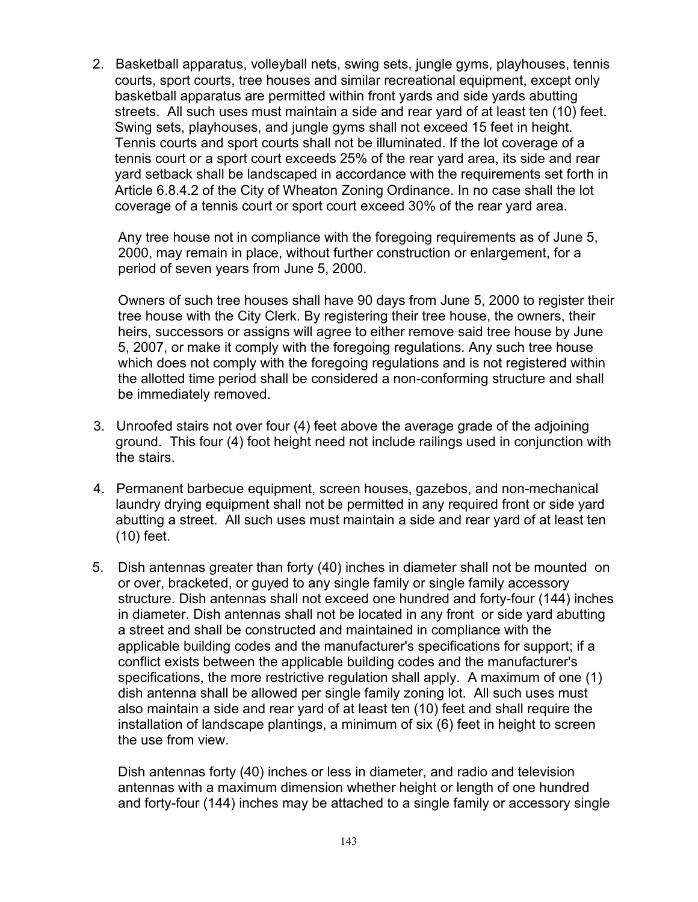2. Basketball apparatus, volleyball nets, swing sets, jungle gyms, playhouses, tennis courts, sport courts, tree houses and similar recreational equipment, except only basketball apparatus are permitted within front yards and side yards abutting streets. All such uses must maintain a side and rear yard of at least ten (10) feet. Swing sets, playhouses, and jungle gyms shall not exceed 15 feet in height. Tennis courts and sport courts shall not be illuminated. If the lot coverage of a tennis court or a sport court exceeds 25% of the rear yard area, its side and rear yard setback shall be landscaped in accordance with the requirements set forth in Article 6.8.4.2 of the City of Wheaton Zoning Ordinance. In no case shall the lot coverage of a tennis court or sport court exceed 30% of the rear yard area.

Any tree house not in compliance with the foregoing requirements as of June 5, 2000, may remain in place, without further construction or enlargement, for a period of seven years from June 5, 2000.

Owners of such tree houses shall have 90 days from June 5, 2000 to register their tree house with the City Clerk. By registering their tree house, the owners, their heirs, successors or assigns will agree to either remove said tree house by June 5, 2007, or make it comply with the foregoing regulations. Any such tree house which does not comply with the foregoing regulations and is not registered within the allotted time period shall be considered a non-conforming structure and shall be immediately removed.

- 3. Unroofed stairs not over four (4) feet above the average grade of the adjoining ground. This four (4) foot height need not include railings used in conjunction with the stairs.
- 4. Permanent barbecue equipment, screen houses, gazebos, and non-mechanical laundry drying equipment shall not be permitted in any required front or side yard abutting a street. All such uses must maintain a side and rear yard of at least ten (10) feet.
- 5. Dish antennas greater than forty (40) inches in diameter shall not be mounted on or over, bracketed, or guyed to any single family or single family accessory structure. Dish antennas shall not exceed one hundred and forty-four (144) inches in diameter. Dish antennas shall not be located in any front or side yard abutting a street and shall be constructed and maintained in compliance with the applicable building codes and the manufacturer's specifications for support; if a conflict exists between the applicable building codes and the manufacturer's specifications, the more restrictive regulation shall apply. A maximum of one (1) dish antenna shall be allowed per single family zoning lot. All such uses must also maintain a side and rear yard of at least ten (10) feet and shall require the installation of landscape plantings, a minimum of six (6) feet in height to screen the use from view.

Dish antennas forty (40) inches or less in diameter, and radio and television antennas with a maximum dimension whether height or length of one hundred and forty-four (144) inches may be attached to a single family or accessory single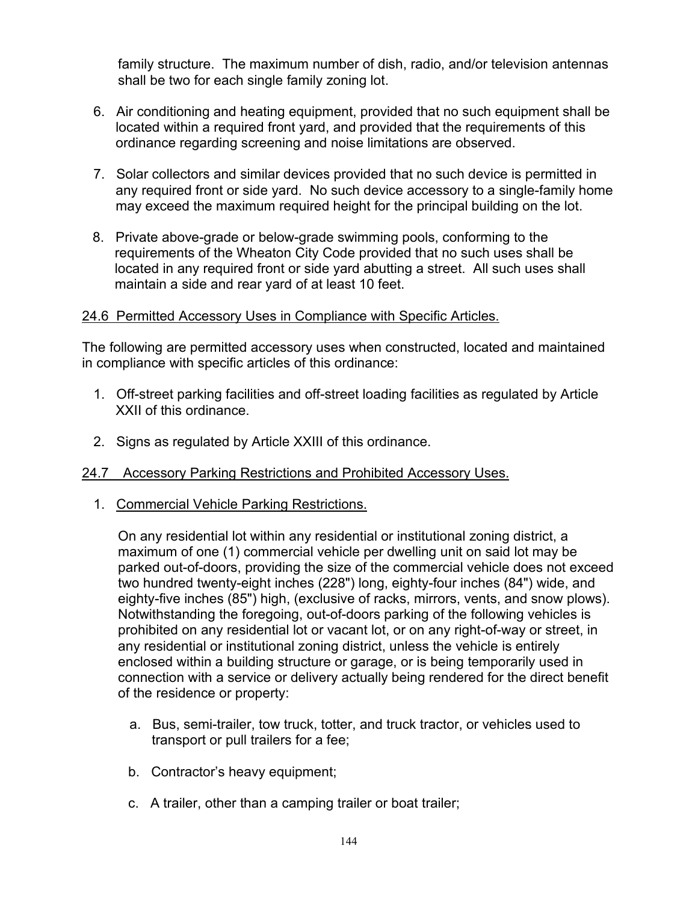family structure. The maximum number of dish, radio, and/or television antennas shall be two for each single family zoning lot.

- 6. Air conditioning and heating equipment, provided that no such equipment shall be located within a required front yard, and provided that the requirements of this ordinance regarding screening and noise limitations are observed.
- 7. Solar collectors and similar devices provided that no such device is permitted in any required front or side yard. No such device accessory to a single-family home may exceed the maximum required height for the principal building on the lot.
- 8. Private above-grade or below-grade swimming pools, conforming to the requirements of the Wheaton City Code provided that no such uses shall be located in any required front or side yard abutting a street. All such uses shall maintain a side and rear yard of at least 10 feet.

#### 24.6 Permitted Accessory Uses in Compliance with Specific Articles.

The following are permitted accessory uses when constructed, located and maintained in compliance with specific articles of this ordinance:

- 1. Off-street parking facilities and off-street loading facilities as regulated by Article XXII of this ordinance.
- 2. Signs as regulated by Article XXIII of this ordinance.

# 24.7 Accessory Parking Restrictions and Prohibited Accessory Uses.

1. Commercial Vehicle Parking Restrictions.

On any residential lot within any residential or institutional zoning district, a maximum of one (1) commercial vehicle per dwelling unit on said lot may be parked out-of-doors, providing the size of the commercial vehicle does not exceed two hundred twenty-eight inches (228") long, eighty-four inches (84") wide, and eighty-five inches (85") high, (exclusive of racks, mirrors, vents, and snow plows). Notwithstanding the foregoing, out-of-doors parking of the following vehicles is prohibited on any residential lot or vacant lot, or on any right-of-way or street, in any residential or institutional zoning district, unless the vehicle is entirely enclosed within a building structure or garage, or is being temporarily used in connection with a service or delivery actually being rendered for the direct benefit of the residence or property:

- a. Bus, semi-trailer, tow truck, totter, and truck tractor, or vehicles used to transport or pull trailers for a fee;
- b. Contractor's heavy equipment;
- c. A trailer, other than a camping trailer or boat trailer;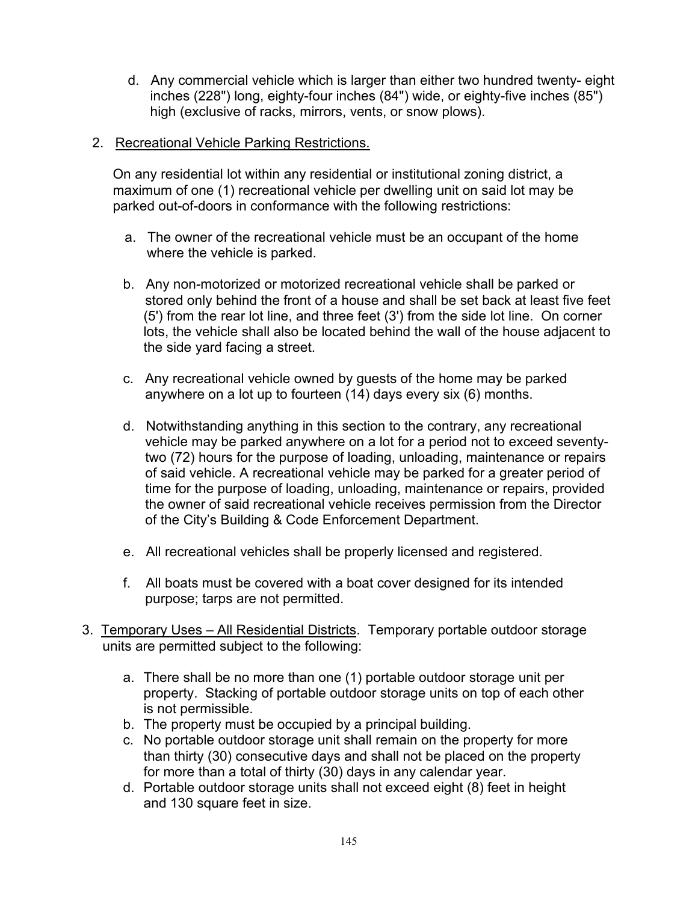- d. Any commercial vehicle which is larger than either two hundred twenty- eight inches (228") long, eighty-four inches (84") wide, or eighty-five inches (85") high (exclusive of racks, mirrors, vents, or snow plows).
- 2. Recreational Vehicle Parking Restrictions.

On any residential lot within any residential or institutional zoning district, a maximum of one (1) recreational vehicle per dwelling unit on said lot may be parked out-of-doors in conformance with the following restrictions:

- a. The owner of the recreational vehicle must be an occupant of the home where the vehicle is parked.
- b. Any non-motorized or motorized recreational vehicle shall be parked or stored only behind the front of a house and shall be set back at least five feet (5') from the rear lot line, and three feet (3') from the side lot line. On corner lots, the vehicle shall also be located behind the wall of the house adjacent to the side yard facing a street.
- c. Any recreational vehicle owned by guests of the home may be parked anywhere on a lot up to fourteen (14) days every six (6) months.
- d. Notwithstanding anything in this section to the contrary, any recreational vehicle may be parked anywhere on a lot for a period not to exceed seventytwo (72) hours for the purpose of loading, unloading, maintenance or repairs of said vehicle. A recreational vehicle may be parked for a greater period of time for the purpose of loading, unloading, maintenance or repairs, provided the owner of said recreational vehicle receives permission from the Director of the City's Building & Code Enforcement Department.
- e. All recreational vehicles shall be properly licensed and registered.
- f. All boats must be covered with a boat cover designed for its intended purpose; tarps are not permitted.
- 3. Temporary Uses All Residential Districts. Temporary portable outdoor storage units are permitted subject to the following:
	- a. There shall be no more than one (1) portable outdoor storage unit per property. Stacking of portable outdoor storage units on top of each other is not permissible.
	- b. The property must be occupied by a principal building.
	- c. No portable outdoor storage unit shall remain on the property for more than thirty (30) consecutive days and shall not be placed on the property for more than a total of thirty (30) days in any calendar year.
	- d. Portable outdoor storage units shall not exceed eight (8) feet in height and 130 square feet in size.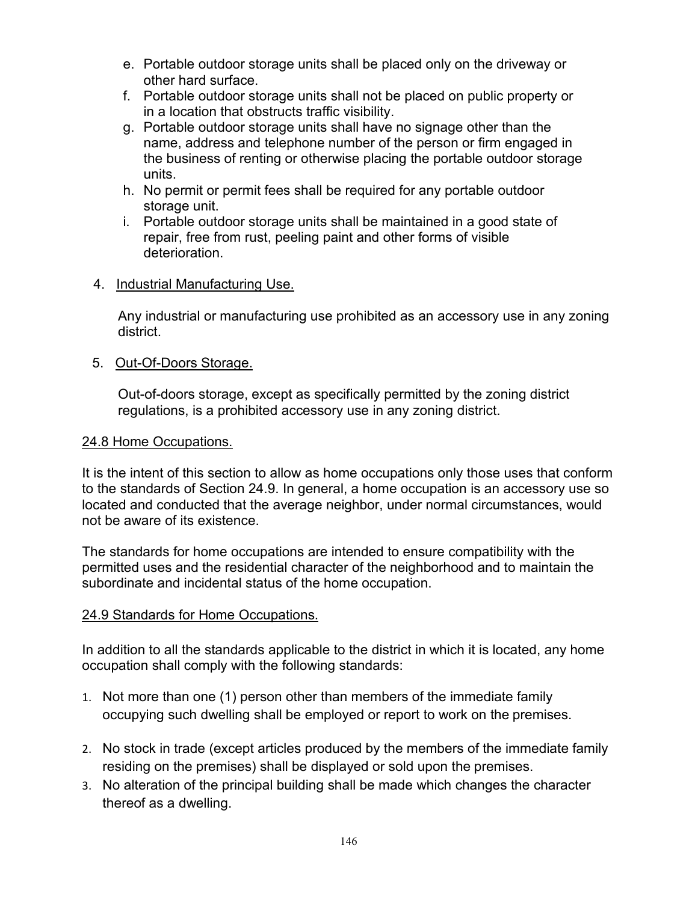- e. Portable outdoor storage units shall be placed only on the driveway or other hard surface.
- f. Portable outdoor storage units shall not be placed on public property or in a location that obstructs traffic visibility.
- g. Portable outdoor storage units shall have no signage other than the name, address and telephone number of the person or firm engaged in the business of renting or otherwise placing the portable outdoor storage units.
- h. No permit or permit fees shall be required for any portable outdoor storage unit.
- i. Portable outdoor storage units shall be maintained in a good state of repair, free from rust, peeling paint and other forms of visible deterioration.

#### 4. Industrial Manufacturing Use.

Any industrial or manufacturing use prohibited as an accessory use in any zoning district.

### 5. Out-Of-Doors Storage.

Out-of-doors storage, except as specifically permitted by the zoning district regulations, is a prohibited accessory use in any zoning district.

#### 24.8 Home Occupations.

It is the intent of this section to allow as home occupations only those uses that conform to the standards of Section 24.9. In general, a home occupation is an accessory use so located and conducted that the average neighbor, under normal circumstances, would not be aware of its existence.

The standards for home occupations are intended to ensure compatibility with the permitted uses and the residential character of the neighborhood and to maintain the subordinate and incidental status of the home occupation.

#### 24.9 Standards for Home Occupations.

In addition to all the standards applicable to the district in which it is located, any home occupation shall comply with the following standards:

- 1. Not more than one (1) person other than members of the immediate family occupying such dwelling shall be employed or report to work on the premises.
- 2. No stock in trade (except articles produced by the members of the immediate family residing on the premises) shall be displayed or sold upon the premises.
- 3. No alteration of the principal building shall be made which changes the character thereof as a dwelling.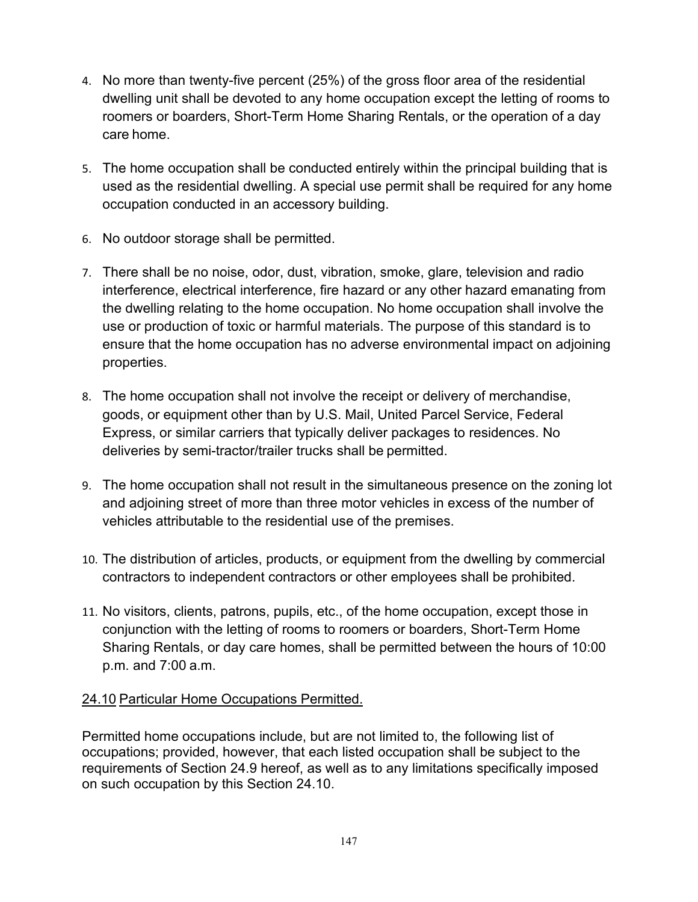- 4. No more than twenty-five percent (25%) of the gross floor area of the residential dwelling unit shall be devoted to any home occupation except the letting of rooms to roomers or boarders, Short-Term Home Sharing Rentals, or the operation of a day care home.
- 5. The home occupation shall be conducted entirely within the principal building that is used as the residential dwelling. A special use permit shall be required for any home occupation conducted in an accessory building.
- 6. No outdoor storage shall be permitted.
- 7. There shall be no noise, odor, dust, vibration, smoke, glare, television and radio interference, electrical interference, fire hazard or any other hazard emanating from the dwelling relating to the home occupation. No home occupation shall involve the use or production of toxic or harmful materials. The purpose of this standard is to ensure that the home occupation has no adverse environmental impact on adjoining properties.
- 8. The home occupation shall not involve the receipt or delivery of merchandise, goods, or equipment other than by U.S. Mail, United Parcel Service, Federal Express, or similar carriers that typically deliver packages to residences. No deliveries by semi-tractor/trailer trucks shall be permitted.
- 9. The home occupation shall not result in the simultaneous presence on the zoning lot and adjoining street of more than three motor vehicles in excess of the number of vehicles attributable to the residential use of the premises.
- 10. The distribution of articles, products, or equipment from the dwelling by commercial contractors to independent contractors or other employees shall be prohibited.
- 11. No visitors, clients, patrons, pupils, etc., of the home occupation, except those in conjunction with the letting of rooms to roomers or boarders, Short-Term Home Sharing Rentals, or day care homes, shall be permitted between the hours of 10:00 p.m. and 7:00 a.m.

# 24.10 Particular Home Occupations Permitted.

Permitted home occupations include, but are not limited to, the following list of occupations; provided, however, that each listed occupation shall be subject to the requirements of Section 24.9 hereof, as well as to any limitations specifically imposed on such occupation by this Section 24.10.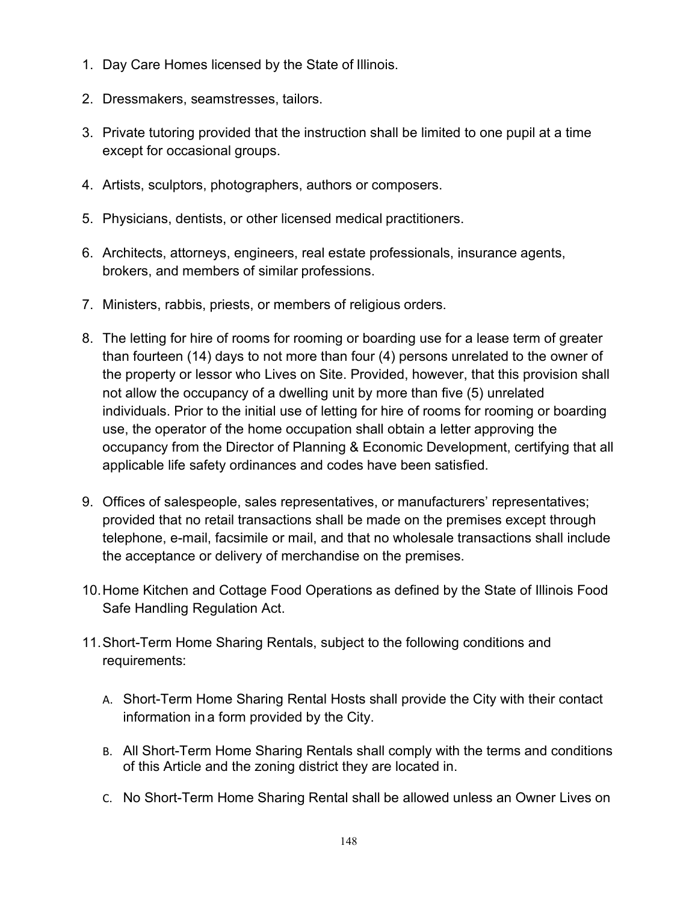- 1. Day Care Homes licensed by the State of Illinois.
- 2. Dressmakers, seamstresses, tailors.
- 3. Private tutoring provided that the instruction shall be limited to one pupil at a time except for occasional groups.
- 4. Artists, sculptors, photographers, authors or composers.
- 5. Physicians, dentists, or other licensed medical practitioners.
- 6. Architects, attorneys, engineers, real estate professionals, insurance agents, brokers, and members of similar professions.
- 7. Ministers, rabbis, priests, or members of religious orders.
- 8. The letting for hire of rooms for rooming or boarding use for a lease term of greater than fourteen (14) days to not more than four (4) persons unrelated to the owner of the property or lessor who Lives on Site. Provided, however, that this provision shall not allow the occupancy of a dwelling unit by more than five (5) unrelated individuals. Prior to the initial use of letting for hire of rooms for rooming or boarding use, the operator of the home occupation shall obtain a letter approving the occupancy from the Director of Planning & Economic Development, certifying that all applicable life safety ordinances and codes have been satisfied.
- 9. Offices of salespeople, sales representatives, or manufacturers' representatives; provided that no retail transactions shall be made on the premises except through telephone, e-mail, facsimile or mail, and that no wholesale transactions shall include the acceptance or delivery of merchandise on the premises.
- 10.Home Kitchen and Cottage Food Operations as defined by the State of Illinois Food Safe Handling Regulation Act.
- 11.Short-Term Home Sharing Rentals, subject to the following conditions and requirements:
	- A. Short-Term Home Sharing Rental Hosts shall provide the City with their contact information in a form provided by the City.
	- B. All Short-Term Home Sharing Rentals shall comply with the terms and conditions of this Article and the zoning district they are located in.
	- C. No Short-Term Home Sharing Rental shall be allowed unless an Owner Lives on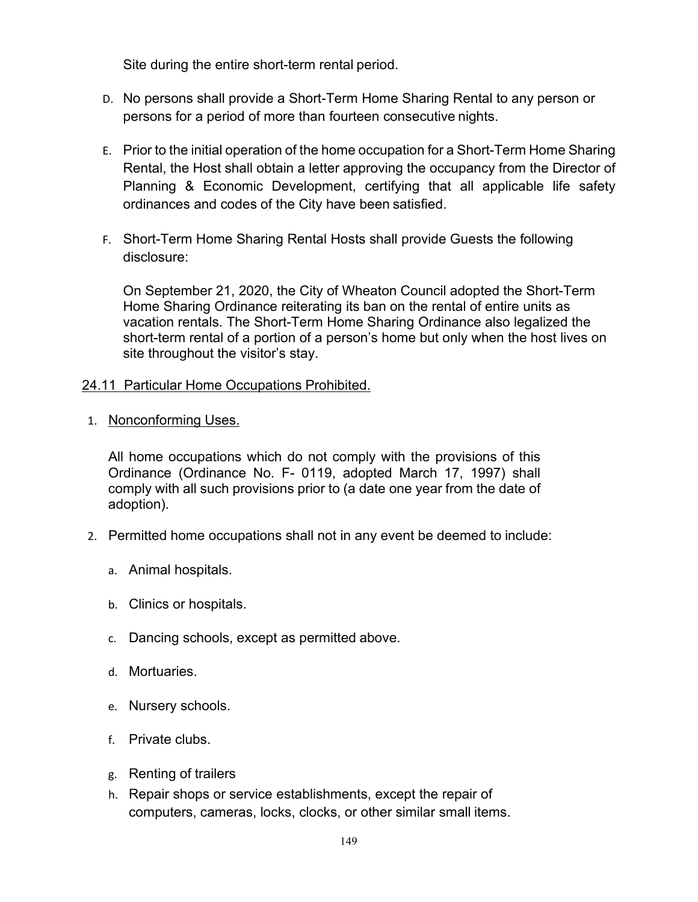Site during the entire short-term rental period.

- D. No persons shall provide a Short-Term Home Sharing Rental to any person or persons for a period of more than fourteen consecutive nights.
- E. Prior to the initial operation of the home occupation for a Short-Term Home Sharing Rental, the Host shall obtain a letter approving the occupancy from the Director of Planning & Economic Development, certifying that all applicable life safety ordinances and codes of the City have been satisfied.
- F. Short-Term Home Sharing Rental Hosts shall provide Guests the following disclosure:

On September 21, 2020, the City of Wheaton Council adopted the Short-Term Home Sharing Ordinance reiterating its ban on the rental of entire units as vacation rentals. The Short-Term Home Sharing Ordinance also legalized the short-term rental of a portion of a person's home but only when the host lives on site throughout the visitor's stay.

### 24.11 Particular Home Occupations Prohibited.

1. Nonconforming Uses.

All home occupations which do not comply with the provisions of this Ordinance (Ordinance No. F- 0119, adopted March 17, 1997) shall comply with all such provisions prior to (a date one year from the date of adoption).

- 2. Permitted home occupations shall not in any event be deemed to include:
	- a. Animal hospitals.
	- b. Clinics or hospitals.
	- c. Dancing schools, except as permitted above.
	- d. Mortuaries.
	- e. Nursery schools.
	- f. Private clubs.
	- g. Renting of trailers
	- h. Repair shops or service establishments, except the repair of computers, cameras, locks, clocks, or other similar small items.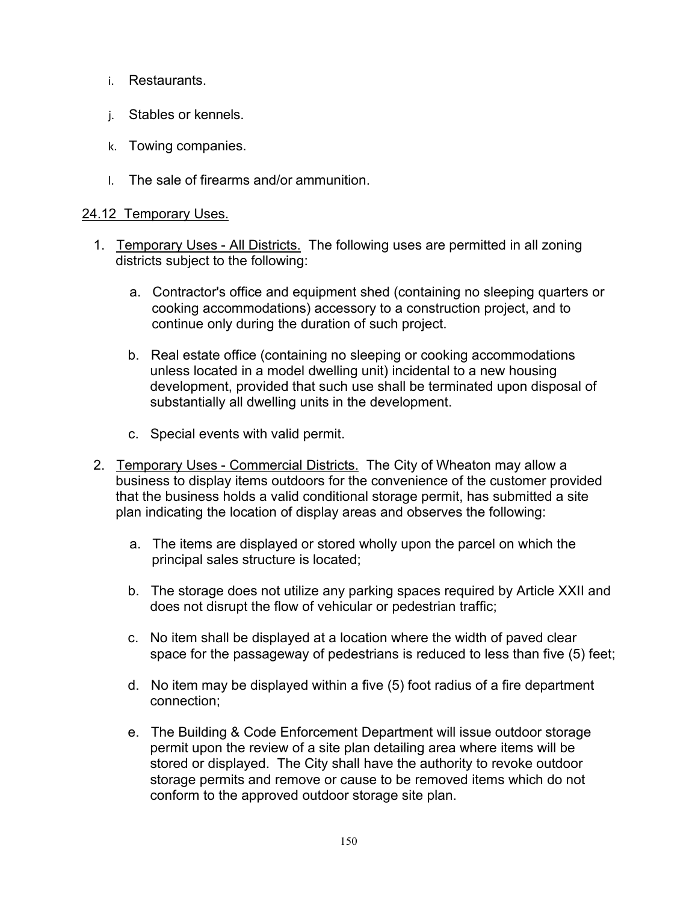- i. Restaurants.
- j. Stables or kennels.
- k. Towing companies.
- l. The sale of firearms and/or ammunition.

### 24.12 Temporary Uses.

- 1. Temporary Uses All Districts. The following uses are permitted in all zoning districts subject to the following:
	- a. Contractor's office and equipment shed (containing no sleeping quarters or cooking accommodations) accessory to a construction project, and to continue only during the duration of such project.
	- b. Real estate office (containing no sleeping or cooking accommodations unless located in a model dwelling unit) incidental to a new housing development, provided that such use shall be terminated upon disposal of substantially all dwelling units in the development.
	- c. Special events with valid permit.
- 2. Temporary Uses Commercial Districts. The City of Wheaton may allow a business to display items outdoors for the convenience of the customer provided that the business holds a valid conditional storage permit, has submitted a site plan indicating the location of display areas and observes the following:
	- a. The items are displayed or stored wholly upon the parcel on which the principal sales structure is located;
	- b. The storage does not utilize any parking spaces required by Article XXII and does not disrupt the flow of vehicular or pedestrian traffic;
	- c. No item shall be displayed at a location where the width of paved clear space for the passageway of pedestrians is reduced to less than five (5) feet;
	- d. No item may be displayed within a five (5) foot radius of a fire department connection;
	- e. The Building & Code Enforcement Department will issue outdoor storage permit upon the review of a site plan detailing area where items will be stored or displayed. The City shall have the authority to revoke outdoor storage permits and remove or cause to be removed items which do not conform to the approved outdoor storage site plan.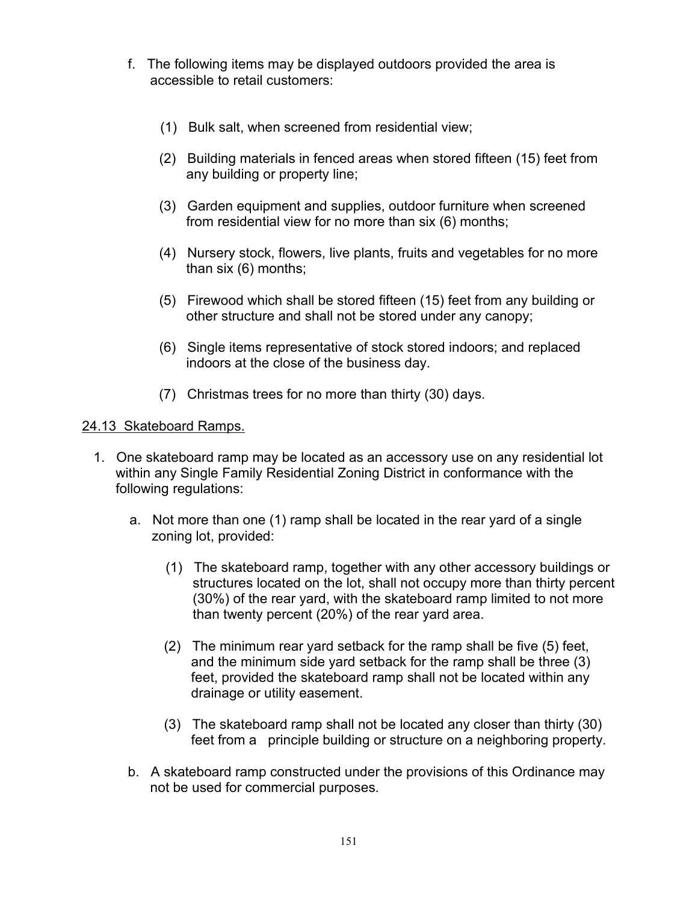- f. The following items may be displayed outdoors provided the area is accessible to retail customers:
	- (1) Bulk salt, when screened from residential view;
	- (2) Building materials in fenced areas when stored fifteen (15) feet from any building or property line;
	- (3) Garden equipment and supplies, outdoor furniture when screened from residential view for no more than six (6) months;
	- (4) Nursery stock, flowers, live plants, fruits and vegetables for no more than six (6) months;
	- (5) Firewood which shall be stored fifteen (15) feet from any building or other structure and shall not be stored under any canopy;
	- (6) Single items representative of stock stored indoors; and replaced indoors at the close of the business day.
	- (7) Christmas trees for no more than thirty (30) days.

#### 24.13 Skateboard Ramps.

- 1. One skateboard ramp may be located as an accessory use on any residential lot within any Single Family Residential Zoning District in conformance with the following regulations:
	- a. Not more than one (1) ramp shall be located in the rear yard of a single zoning lot, provided:
		- (1) The skateboard ramp, together with any other accessory buildings or structures located on the lot, shall not occupy more than thirty percent (30%) of the rear yard, with the skateboard ramp limited to not more than twenty percent (20%) of the rear yard area.
		- (2) The minimum rear yard setback for the ramp shall be five (5) feet, and the minimum side yard setback for the ramp shall be three (3) feet, provided the skateboard ramp shall not be located within any drainage or utility easement.
		- (3) The skateboard ramp shall not be located any closer than thirty (30) feet from a principle building or structure on a neighboring property.
	- b. A skateboard ramp constructed under the provisions of this Ordinance may not be used for commercial purposes.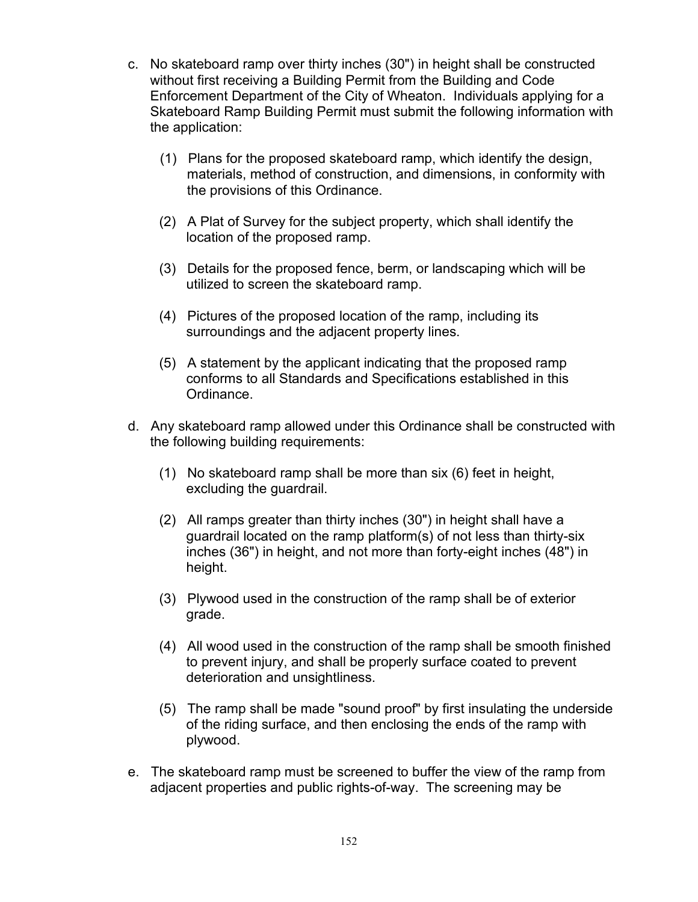- c. No skateboard ramp over thirty inches (30") in height shall be constructed without first receiving a Building Permit from the Building and Code Enforcement Department of the City of Wheaton. Individuals applying for a Skateboard Ramp Building Permit must submit the following information with the application:
	- (1) Plans for the proposed skateboard ramp, which identify the design, materials, method of construction, and dimensions, in conformity with the provisions of this Ordinance.
	- (2) A Plat of Survey for the subject property, which shall identify the location of the proposed ramp.
	- (3) Details for the proposed fence, berm, or landscaping which will be utilized to screen the skateboard ramp.
	- (4) Pictures of the proposed location of the ramp, including its surroundings and the adjacent property lines.
	- (5) A statement by the applicant indicating that the proposed ramp conforms to all Standards and Specifications established in this Ordinance.
- d. Any skateboard ramp allowed under this Ordinance shall be constructed with the following building requirements:
	- (1) No skateboard ramp shall be more than six (6) feet in height, excluding the guardrail.
	- (2) All ramps greater than thirty inches (30") in height shall have a guardrail located on the ramp platform(s) of not less than thirty-six inches (36") in height, and not more than forty-eight inches (48") in height.
	- (3) Plywood used in the construction of the ramp shall be of exterior grade.
	- (4) All wood used in the construction of the ramp shall be smooth finished to prevent injury, and shall be properly surface coated to prevent deterioration and unsightliness.
	- (5) The ramp shall be made "sound proof" by first insulating the underside of the riding surface, and then enclosing the ends of the ramp with plywood.
- e. The skateboard ramp must be screened to buffer the view of the ramp from adjacent properties and public rights-of-way. The screening may be